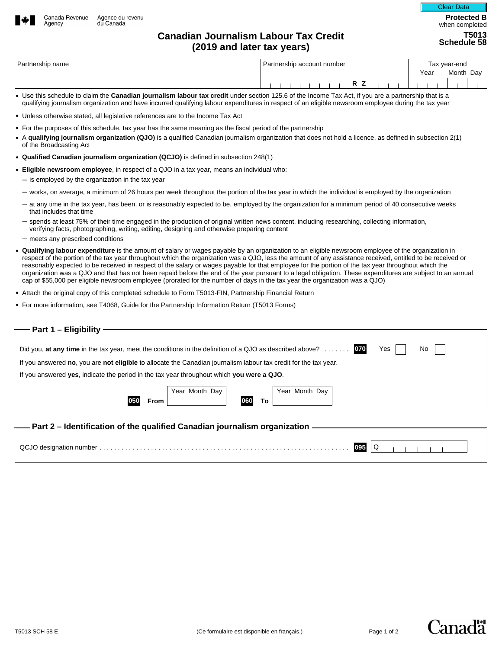

Partnership name Tax year-end Tax is a state of the Partnership account number Tax year-end Year Month Day **R Z**

- Use this schedule to claim the **Canadian journalism labour tax credit** under section 125.6 of the Income Tax Act, if you are a partnership that is a qualifying journalism organization and have incurred qualifying labour expenditures in respect of an eligible newsroom employee during the tax year
- Unless otherwise stated, all legislative references are to the Income Tax Act
- For the purposes of this schedule, tax year has the same meaning as the fiscal period of the partnership
- A **qualifying journalism organization (QJO)** is a qualified Canadian journalism organization that does not hold a licence, as defined in subsection 2(1) of the Broadcasting Act
- **Qualified Canadian journalism organization (QCJO)** is defined in subsection 248(1)
- **Eligible newsroom employee**, in respect of a QJO in a tax year, means an individual who:
	- $-$  is employed by the organization in the tax year
	- works, on average, a minimum of 26 hours per week throughout the portion of the tax year in which the individual is employed by the organization
	- at any time in the tax year, has been, or is reasonably expected to be, employed by the organization for a minimum period of 40 consecutive weeks that includes that time
	- spends at least 75% of their time engaged in the production of original written news content, including researching, collecting information, verifying facts, photographing, writing, editing, designing and otherwise preparing content
	- meets any prescribed conditions
- **Qualifying labour expenditure** is the amount of salary or wages payable by an organization to an eligible newsroom employee of the organization in respect of the portion of the tax year throughout which the organization was a QJO, less the amount of any assistance received, entitled to be received or reasonably expected to be received in respect of the salary or wages payable for that employee for the portion of the tax year throughout which the organization was a QJO and that has not been repaid before the end of the year pursuant to a legal obligation. These expenditures are subject to an annual cap of \$55,000 per eligible newsroom employee (prorated for the number of days in the tax year the organization was a QJO)
- Attach the original copy of this completed schedule to Form T5013-FIN, Partnership Financial Return
- For more information, see T4068, Guide for the Partnership Information Return (T5013 Forms)

| ── Part 1 – Eligibility –                                                                                                                                                                                                                                        |
|------------------------------------------------------------------------------------------------------------------------------------------------------------------------------------------------------------------------------------------------------------------|
| 070<br>No<br>Yes<br>Did you, at any time in the tax year, meet the conditions in the definition of a QJO as described above? $\ldots \ldots$<br>If you answered no, you are not eligible to allocate the Canadian journalism labour tax credit for the tax year. |
| If you answered yes, indicate the period in the tax year throughout which you were a QJO.                                                                                                                                                                        |
| Year Month Day<br>Year Month Day<br>060<br>To<br>From                                                                                                                                                                                                            |
| — Part 2 – Identification of the qualified Canadian journalism organization —                                                                                                                                                                                    |
| Q<br>095                                                                                                                                                                                                                                                         |

**Protected B**  when completed

Clear Data

**T5013 Schedule 58**